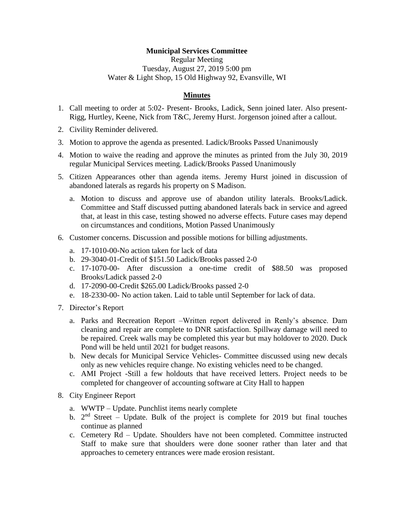## **Municipal Services Committee**

Regular Meeting Tuesday, August 27, 2019 5:00 pm Water & Light Shop, 15 Old Highway 92, Evansville, WI

## **Minutes**

- 1. Call meeting to order at 5:02- Present- Brooks, Ladick, Senn joined later. Also present-Rigg, Hurtley, Keene, Nick from T&C, Jeremy Hurst. Jorgenson joined after a callout.
- 2. Civility Reminder delivered.
- 3. Motion to approve the agenda as presented. Ladick/Brooks Passed Unanimously
- 4. Motion to waive the reading and approve the minutes as printed from the July 30, 2019 regular Municipal Services meeting. Ladick/Brooks Passed Unanimously
- 5. Citizen Appearances other than agenda items. Jeremy Hurst joined in discussion of abandoned laterals as regards his property on S Madison.
	- a. Motion to discuss and approve use of abandon utility laterals. Brooks/Ladick. Committee and Staff discussed putting abandoned laterals back in service and agreed that, at least in this case, testing showed no adverse effects. Future cases may depend on circumstances and conditions, Motion Passed Unanimously
- 6. Customer concerns. Discussion and possible motions for billing adjustments.
	- a. 17-1010-00-No action taken for lack of data
	- b. 29-3040-01-Credit of \$151.50 Ladick/Brooks passed 2-0
	- c. 17-1070-00- After discussion a one-time credit of \$88.50 was proposed Brooks/Ladick passed 2-0
	- d. 17-2090-00-Credit \$265.00 Ladick/Brooks passed 2-0
	- e. 18-2330-00- No action taken. Laid to table until September for lack of data.
- 7. Director's Report
	- a. Parks and Recreation Report –Written report delivered in Renly's absence. Dam cleaning and repair are complete to DNR satisfaction. Spillway damage will need to be repaired. Creek walls may be completed this year but may holdover to 2020. Duck Pond will be held until 2021 for budget reasons.
	- b. New decals for Municipal Service Vehicles- Committee discussed using new decals only as new vehicles require change. No existing vehicles need to be changed.
	- c. AMI Project -Still a few holdouts that have received letters. Project needs to be completed for changeover of accounting software at City Hall to happen
- 8. City Engineer Report
	- a. WWTP Update. Punchlist items nearly complete
	- b.  $2<sup>nd</sup> Street Update. Bulk of the project is complete for 2019 but final touches$ continue as planned
	- c. Cemetery Rd Update. Shoulders have not been completed. Committee instructed Staff to make sure that shoulders were done sooner rather than later and that approaches to cemetery entrances were made erosion resistant.